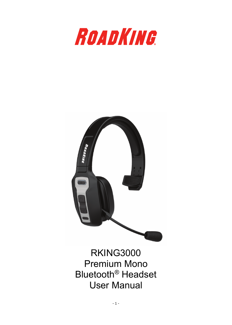



RKING3000 Premium Mono Bluetooth® Headset User Manual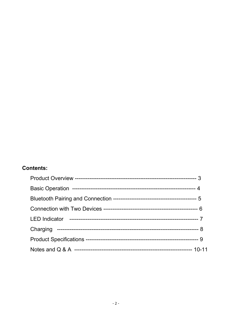### **Contents:**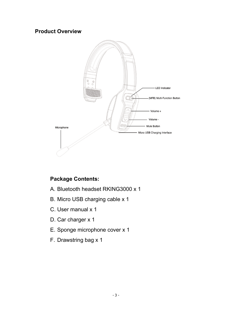### **Product Overview**



## **Package Contents:**

- A. Bluetooth headset RKING3000 x 1
- B. Micro USB charging cable x 1
- C. User manual x 1
- D. Car charger x 1
- E. Sponge microphone cover x 1
- F. Drawstring bag x 1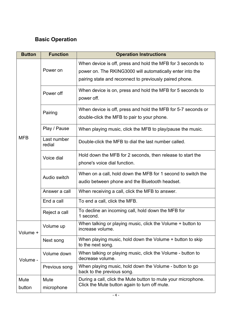## **Basic Operation**

| <b>Button</b> | <b>Function</b>       | <b>Operation Instructions</b>                                                                                  |  |
|---------------|-----------------------|----------------------------------------------------------------------------------------------------------------|--|
| <b>MFB</b>    | Power on              | When device is off, press and hold the MFB for 3 seconds to                                                    |  |
|               |                       | power on. The RKING3000 will automatically enter into the                                                      |  |
|               |                       | pairing state and reconnect to previously paired phone.                                                        |  |
|               | Power off             | When device is on, press and hold the MFB for 5 seconds to<br>power off.                                       |  |
|               | Pairing               | When device is off, press and hold the MFB for 5-7 seconds or                                                  |  |
|               |                       | double-click the MFB to pair to your phone.                                                                    |  |
|               | Play / Pause          | When playing music, click the MFB to play/pause the music.                                                     |  |
|               | Last number<br>redial | Double-click the MFB to dial the last number called.                                                           |  |
|               | Voice dial            | Hold down the MFB for 2 seconds, then release to start the                                                     |  |
|               |                       | phone's voice dial function.                                                                                   |  |
|               | Audio switch          | When on a call, hold down the MFB for 1 second to switch the                                                   |  |
|               |                       | audio between phone and the Bluetooth headset.                                                                 |  |
|               | Answer a call         | When receiving a call, click the MFB to answer.                                                                |  |
|               | End a call            | To end a call, click the MFB.                                                                                  |  |
|               | Reject a call         | To decline an incoming call, hold down the MFB for<br>1 second.                                                |  |
| Volume +      | Volume up             | When talking or playing music, click the Volume + button to<br>increase volume.                                |  |
|               | Next song             | When playing music, hold down the Volume + button to skip<br>to the next song.                                 |  |
| Volume -      | Volume down           | When talking or playing music, click the Volume - button to<br>decrease volume.                                |  |
|               | Previous song         | When playing music, hold down the Volume - button to go<br>back to the previous song.                          |  |
| Mute          | Mute                  | During a call, click the Mute button to mute your microphone.<br>Click the Mute button again to turn off mute. |  |
| button        | microphone            |                                                                                                                |  |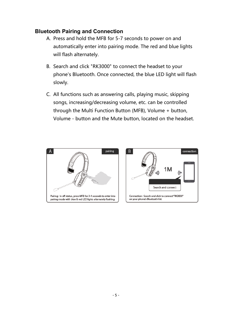### **Bluetooth Pairing and Connection**

- A. Press and hold the MFB for 5-7 seconds to power on and automatically enter into pairing mode. The red and blue lights will flash alternately.
- B. Search and click "RK3000" to connect the headset to your phone's Bluetooth. Once connected, the blue LED light will flash slowly.
- C. All functions such as answering calls, playing music, skipping songs, increasing/decreasing volume, etc. can be controlled through the Multi Function Button (MFB), Volume + button, Volume - button and the Mute button, located on the headset.



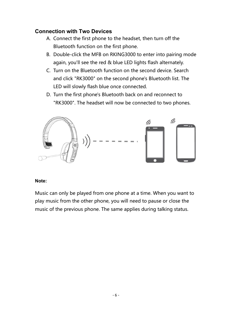### **Connection with Two Devices**

- A. Connect the first phone to the headset, then turn off the Bluetooth function on the first phone.
- B. Double-click the MFB on RKING3000 to enter into pairing mode again, you'll see the red & blue LED lights flash alternately.
- C. Turn on the Bluetooth function on the second device. Search and click "RK3000" on the second phone's Bluetooth list. The LED will slowly flash blue once connected.
- D. Turn the first phone's Bluetooth back on and reconnect to "RK3000". The headset will now be connected to two phones.



### **Note:**

Music can only be played from one phone at a time. When you want to play music from the other phone, you will need to pause or close the music of the previous phone. The same applies during talking status.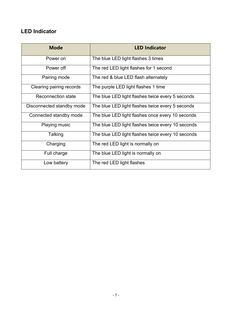## **LED Indicator**

| <b>Mode</b>               | <b>LED Indicator</b>                              |
|---------------------------|---------------------------------------------------|
| Power on                  | The blue LED light flashes 3 times                |
| Power off                 | The red LED light flashes for 1 second            |
| Pairing mode              | The red & blue LED flash alternately              |
| Clearing pairing records  | The purple LED light flashes 1 time               |
| <b>Reconnection state</b> | The blue LED light flashes twice every 5 seconds  |
| Disconnected standby mode | The blue LED light flashes twice every 5 seconds  |
| Connected standby mode    | The blue LED light flashes once every 10 seconds  |
| Playing music             | The blue LED light flashes twice every 10 seconds |
| Talking                   | The blue LED light flashes twice every 10 seconds |
| Charging                  | The red LED light is normally on                  |
| Full charge               | The blue LED light is normally on                 |
| Low battery               | The red LED light flashes                         |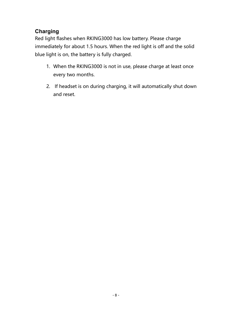## **Charging**

Red light flashes when RKING3000 has low battery. Please charge immediately for about 1.5 hours. When the red light is off and the solid blue light is on, the battery is fully charged.

- 1. When the RKING3000 is not in use, please charge at least once every two months.
- 2. If headset is on during charging, it will automatically shut down and reset.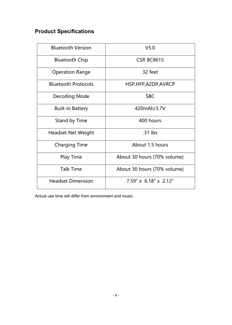# **Product Specifications**

| <b>Bluetooth Version</b>   | V <sub>5.0</sub>                  |
|----------------------------|-----------------------------------|
| <b>Bluetooth Chip</b>      | <b>CSR BC8615</b>                 |
| <b>Operation Range</b>     | 32 feet                           |
| <b>Bluetooth Protocols</b> | HSP, HFP, A2DP, AVRCP             |
| Decoding Mode              | <b>SBC</b>                        |
| <b>Built-in Battery</b>    | 420mAh/3.7V                       |
| Stand by Time              | 400 hours                         |
| <b>Headset Net Weight</b>  | .31 lbs                           |
| <b>Charging Time</b>       | About 1.5 hours                   |
| <b>Play Time</b>           | About 30 hours (70% volume)       |
| <b>Talk Time</b>           | About 30 hours (70% volume)       |
| <b>Headset Dimension</b>   | $7.59" \times 6.18" \times 2.12"$ |

Actual use time will differ from environment and music.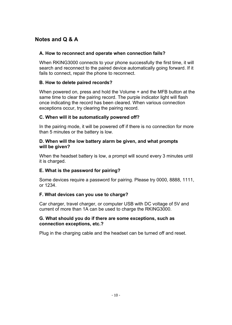### **Notes and Q & A**

### **A. How to reconnect and operate when connection fails?**

When RKING3000 connects to your phone successfully the first time, it will search and reconnect to the paired device automatically going forward. If it fails to connect, repair the phone to reconnect.

### **B. How to delete paired records?**

When powered on, press and hold the Volume + and the MFB button at the same time to clear the pairing record. The purple indicator light will flash once indicating the record has been cleared. When various connection exceptions occur, try clearing the pairing record.

### **C. When will it be automatically powered off?**

In the pairing mode, it will be powered off if there is no connection for more than 5 minutes or the battery is low.

#### **D. When will the low battery alarm be given, and what prompts will be given?**

When the headset battery is low, a prompt will sound every 3 minutes until it is charged.

### **E. What is the password for pairing?**

Some devices require a password for pairing. Please try 0000, 8888, 1111, or 1234.

### **F. What devices can you use to charge?**

Car charger, travel charger, or computer USB with DC voltage of 5V and current of more than 1A can be used to charge the RKING3000.

#### **G. What should you do if there are some exceptions, such as connection exceptions, etc.?**

Plug in the charging cable and the headset can be turned off and reset.